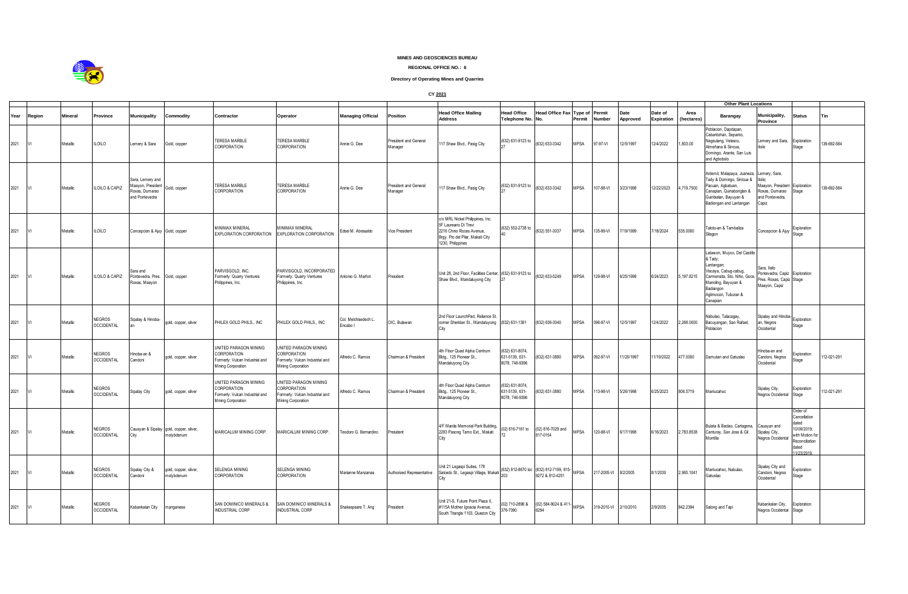

## **MINES AND GEOSCIENCES BUREAU**

## **REGIONAL OFFICE NO.: 6**

## **Directory of Operating Mines and Quarries**

**CY 2021**

|      |        |          |                                    |                                                                           |                                                       |                                                                                               |                                                                                                      |                                  |                                  |                                                                                                                                               |                                                    |                                                           |                                 |                       |                  |                       | <b>Other Plant Locations</b> |                                                                                                                                                                                        |                                                                                            |                                                                                                            |             |
|------|--------|----------|------------------------------------|---------------------------------------------------------------------------|-------------------------------------------------------|-----------------------------------------------------------------------------------------------|------------------------------------------------------------------------------------------------------|----------------------------------|----------------------------------|-----------------------------------------------------------------------------------------------------------------------------------------------|----------------------------------------------------|-----------------------------------------------------------|---------------------------------|-----------------------|------------------|-----------------------|------------------------------|----------------------------------------------------------------------------------------------------------------------------------------------------------------------------------------|--------------------------------------------------------------------------------------------|------------------------------------------------------------------------------------------------------------|-------------|
| Year | Region | Mineral  | <b>Province</b>                    | <b>Municipality</b>                                                       | Commodity                                             | Contractor                                                                                    | Operator                                                                                             | <b>Managing Official</b>         | Position                         | <b>Head Office Mailing</b><br><b>Address</b>                                                                                                  | Head Office<br>Telephone No. No.                   | Head Office Fax                                           | <b>Type of Permit</b><br>Permit | Number                | Date<br>Approved | Date of<br>Expiration | Area<br>(hectares)           | Barangay                                                                                                                                                                               | <b>Municipality,</b><br><b>Province</b>                                                    | <b>Status</b>                                                                                              | Tin         |
| 2021 |        | Metallic | <b>ILOILO</b>                      | Lemery & Sara                                                             | Gold, copper                                          | TERESA MARBLE<br>CORPORATION                                                                  | TERESA MARBLE<br>CORPORATION                                                                         | Annie G. Dee                     | President and General<br>Manager | 117 Shaw Blvd., Pasig City                                                                                                                    | (632) 631-9123 to                                  | (632) 633-3342                                            | <b>MPSA</b>                     | 97-97-VI              | 12/5/1997        | 12/4/2022             | ,803.00                      | oblacion, Dapdapan,<br>Cabantohan, Sepanto,<br>Nagsulang, Velasco,<br>Almeñana & Sincua,<br>Domingo, Arante, San Luis<br>and Agbobolo                                                  | Lemery and Sara,<br>lloilo                                                                 | Exploration<br>Stage                                                                                       | 139-692-584 |
| 2021 |        | Metallic | ILOILO & CAPIZ                     | Sara, Lemery and<br>Maayon, President<br>Roxas, Dumarao<br>and Pontevedra | Gold, copper                                          | <b>TERESA MARBLE</b><br>CORPORATION                                                           | <b>TERESA MARBLE</b><br>CORPORATION                                                                  | Annie G. Dee                     | President and General<br>Manager | 117 Shaw Blvd., Pasig City                                                                                                                    | (632) 631-9123 to                                  | (632) 633-3342                                            | <b>MPSA</b>                     | 107-98-VI             | 3/23/1998        | 12/22/2023            | 4,719.7500                   | Ardemil, Malapaya, Juaneza, Lemery, Sara,<br>Tady & Domingo, Sinicua &<br>Pacuan, Agbatuan,<br>Canapian, Quinabonglan &<br>Guinbialan, Bayuyan &<br>Badiongan and Lantangan            | lloilo:<br>Maayon, President Exploration<br>Roxas, Dumarao<br>and Pontevedra,<br>Capiz     | Stage                                                                                                      | 139-692-584 |
| 2021 |        | Metallic | <b>ILOILO</b>                      | Concepcion & Ajuy Gold, copper                                            |                                                       | MINIMAX MINERAL<br>EXPLORATION CORPORATION                                                    | <b>JINIMAX MINERAL</b><br>EXPLORATION CORPORATION                                                    | Edsel M. Abrasaldo               | Vice President                   | c/o MRL Nickel Philippines, Inc.<br>5F Laureano Di Trevi<br>2216 Chino Roces Avenue.<br>Brgy. Pio del Pilar, Makati City<br>1230, Philippines | (632) 552-2738 to                                  | (632) 551-3037                                            | <b>MPSA</b>                     | 135-99-VI             | 7/19/1999        | /18/2024              | 535,0000                     | Taloto-an & Tambaliza<br>Silagon                                                                                                                                                       | Concepcion & Ajuy                                                                          | Exploration<br>Stage                                                                                       |             |
| 2021 |        | Metallic | ILOILO & CAPIZ                     | Sara and<br>Pontevedra, Pres.<br>Roxas, Maayon                            | Gold, copper                                          | PARVISGOLD, INC.<br>Formerly: Quarry Ventures<br>Philippines, Inc.                            | PARVISGOLD, INCORPORATED<br>Formerly: Quarry Ventures<br>Philippines, Inc.                           | Antonio G. Marfori               | President                        | Unit 28, 2nd Floor, Facilities Center, (632) 631-9123 to<br>Shaw Blvd., Mandaluyong City                                                      |                                                    | (632) 633-5249                                            | <b>MPSA</b>                     | 129-98-VI             | 6/25/1998        | 6/24/2023             | 5,197.8215                   | Latawon, Muyco, Del Castillo<br>& Tady;<br>Lantangan;<br>Viscaya, Cabug-cabug,<br>Carmensita, Sto. Niño, Goce,<br>Manoling, Bayuyan &<br>Badiangon<br>Aglimocon, Tuburan &<br>Canapian | Sara, Iloilo<br>Pontevedra, Capiz Exploration<br>Pres. Roxas, Capiz Stage<br>Maayon, Capiz |                                                                                                            |             |
| 2021 |        | Metallic | <b>NEGROS</b><br><b>OCCIDENTAL</b> | Sipalay & Hinoba-                                                         | gold, copper, silver                                  | PHILEX GOLD PHILS., INC                                                                       | PHILEX GOLD PHILS., INC                                                                              | Col. Melchisedech L.<br>Encabo I | OIC, Bulawan                     | 2nd Floor LaunchPad, Reliance St<br>corner Sheridan St., Mandaluyong (632) 631-1381<br>City                                                   |                                                    | (632) 636-3040                                            | <b>MPSA</b>                     | 096-97-VI             | 12/5/1997        | 12/4/2022             | 2,268.0000                   | Nabulao, Talacagay,<br>Bacuyangan, San Rafael,<br>Poblacion                                                                                                                            | Sipalay and Hinoba-<br>an, Negros<br>Occidental                                            | Exploration<br>Stage                                                                                       |             |
| 2021 |        | Metallic | <b>NEGROS</b><br><b>OCCIDENTAL</b> | Hinoba-an &<br>Candoni                                                    | gold, copper, silver                                  | UNITED PARAGON MINING<br>CORPORATION<br>Formerly: Vulcan Industrial and<br>Mining Corporation | UNITED PARAGON MINING<br>CORPORATION<br>ormerly: Vulcan Industrial and<br>Mining Corporation         | Alfredo C. Ramos                 | Chairman & President             | 4th Floor Quad Alpha Centrum<br>Bldg., 125 Pioneer St.,<br>Mandaluyong City                                                                   | 632) 631-8074.<br>631-5139, 631-<br>8078.746-9396  | (632) 631-3880                                            | <b>MPSA</b>                     | 092-97-VI             | 11/20/1997       | 1/19/2022             | 477.0000                     | Damutan and Gatuslao                                                                                                                                                                   | Hinoba-an and<br>Candoni, Negros<br>Occidental                                             | Exploration<br>Stage                                                                                       | 12-021-291  |
| 2021 |        | Metallic | <b>NEGROS</b><br><b>OCCIDENTAL</b> | Sipalay City                                                              | gold, copper, silver                                  | UNITED PARAGON MINING<br>CORPORATION<br>Formerly: Vulcan Industrial and<br>Mining Corporation | UNITED PARAGON MINING<br><b>CORPORATION</b><br>Formerly: Vulcan Industrial and<br>Mining Corporation | Alfredo C. Ramos                 | Chairman & President             | 4th Floor Quad Alpha Centrum<br>Bldg., 125 Pioneer St.,<br>Mandaluyong City                                                                   | 632) 631-8074.<br>631-5139, 631-<br>8078, 746-9396 | (632) 631-3880                                            | <b>MPSA</b>                     | 113-98-VI             | 5/26/1998        | 6/25/2023             | 806.5719                     | Manlucahoc                                                                                                                                                                             | Sipalay City,<br>Negros Occidental                                                         | Exploration<br>Stage                                                                                       | 12-021-291  |
| 2021 |        | Metallic | <b>NEGROS</b><br><b>OCCIDENTAL</b> | City                                                                      | Cauayan & Sipalay gold, copper, silver,<br>molybdenum | MARICALUM MINING CORP.                                                                        | MARICALUM MINING CORP.                                                                               | Teodoro G. Bernardino            | President                        | 4/F Manila Memorial Park Building,<br>2283 Pasong Tamo Ext., Makati<br>City                                                                   | 02) 816-7161 to                                    | (02) 816-7029 and<br>817-0154                             | <b>MPSA</b>                     | 120-98-VI             | 6/17/1998        | 6/16/2023             | 2,783.8538                   | Bulata & Baclao, Cartagena,<br>Canturay, San Jose & Gil<br>Montilla                                                                                                                    | Cauayan and<br>Sipalay City,<br>Negros Occidenta                                           | Order of<br>Cancellation<br>iated<br>10/09/2019;<br>with Motion fo<br>Reconciliation<br>dated<br>1/23/2019 |             |
| 2021 |        | Metallic | <b>NEGROS</b><br><b>OCCIDENTAL</b> | Sipalay City &<br>Candoni                                                 | gold, copper, silver,<br>molybdenum                   | SELENGA MINING<br>CORPORATION                                                                 | SELENGA MINING<br>CORPORATION                                                                        | Marianne Manzanas                | Authorized Representative        | Unit 21 Legaspi Suites, 178<br>Salcedo St., Legaspi Village, Makati<br>City                                                                   | 203                                                | (632) 812-8670 loc (632) 812-7199, 815<br>9272 & 812-4251 | <b>MPSA</b>                     | 217-2005-VI 8/2/2005  |                  | 8/1/2030              | 2,965.1041                   | Manlucahoc, Nabulao,<br>Gatuslao                                                                                                                                                       | Sipalay City and<br>Candoni, Negros<br>Occidental                                          | Exploration<br>Stage                                                                                       |             |
| 2021 |        | Metallic | <b>NEGROS</b><br><b>OCCIDENTAL</b> | Kabankalan City                                                           | manganese                                             | <b>SAN DOMINICO MINERALS &amp;</b><br>INDUSTRIAL CORP                                         | SAN DOMINICO MINERALS &<br><b>INDUSTRIAL CORP</b>                                                    | Shakespeare T. Ang               | President                        | Unit 21-S, Future Point Plaza II,<br>#115A Mother Ignacia Avenue,<br>South Triangle 1103, Quezon City                                         | (02) 710-2898 &<br>376-7090                        | (02) 584-9024 & 411-<br>6294                              | <b>MPSA</b>                     | 319-2010-VI 2/10/2010 |                  | 2/9/2035              | 842.2394                     | Salong and Tapi                                                                                                                                                                        | Kabankalan City,<br>Negros Occidental Stage                                                | Exploration                                                                                                |             |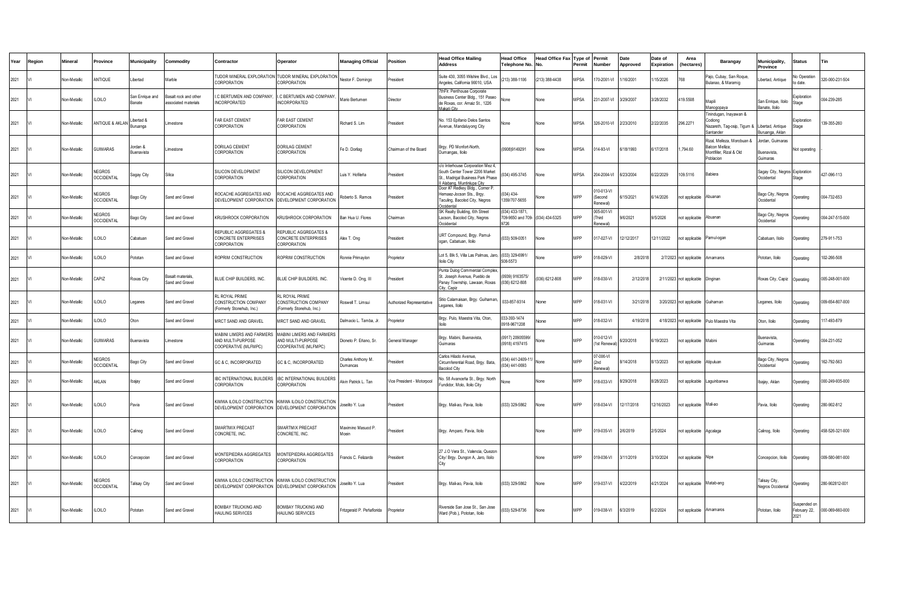| Year | Region | <b>Aineral</b>      | Province                          | Municipality                  | Commodity                                    | Contractor                                                                                             | Operator                                                               | <b>Managing Official</b>       | Position                   | <b>Head Office Mailing</b><br><b>Address</b>                                                                                        | <b>Head Office</b><br><b>Telephone No</b>    | <b>Head Office Fax</b><br>I No | Type of<br>Permit | Permit<br>Number                  | Date<br>Approved | Date of<br><b>Expiration</b> | Area<br>(hectares)       | Barangay                                                                              | <b><i><u>Aunicipality</u></i></b><br>Province | <b>Status</b>                       | Tin             |
|------|--------|---------------------|-----------------------------------|-------------------------------|----------------------------------------------|--------------------------------------------------------------------------------------------------------|------------------------------------------------------------------------|--------------------------------|----------------------------|-------------------------------------------------------------------------------------------------------------------------------------|----------------------------------------------|--------------------------------|-------------------|-----------------------------------|------------------|------------------------------|--------------------------|---------------------------------------------------------------------------------------|-----------------------------------------------|-------------------------------------|-----------------|
| 2021 |        | Ion-Metallic        | <b>INTIQUE</b>                    | .ibertad                      | Marble                                       | <b>FUDOR MINERAL EXPLORATION TUDOR MINERAL EXPLORATION</b><br>CORPORATION                              | CORPORATION                                                            | Nestor F. Domingo              | resident                   | Suite 430, 3055 Wilshire Blvd., Los<br>Angeles, California 90010, USA                                                               | (213) 388-1106                               | (213) 388-4438                 | <b>MPSA</b>       | 70-2001-VI                        | /16/2001         | 15/2026                      | 768                      | ajo, Cubay, San Roque,<br>Julanao, & Maramig                                          | ibertad, Antique                              | lo Operation<br>o date              | 320-000-231-504 |
| 2021 |        | Non-Metallic        | LOILO                             | San Enrique and<br>lanate     | Basalt rock and other<br>ssociated materials | C BERTUMEN AND COMPANY.<br><b>NCORPORATED</b>                                                          | I.C BERTUMEN AND COMPANY.<br><b>INCORPORATED</b>                       | Mario Bertumen                 | Director                   | ThFlr. Penthouse Corporate<br>Business Center Bldg., 151 Pased<br>de Roxas, cor. Amaiz St., 1226                                    | None                                         | None                           | <b>MPSA</b>       | 231-2007-VI                       | 3/29/2007        | 3/28/2032                    | 119.5508                 | Manili<br>Manogopava                                                                  | San Enrique, Iloilo<br>Banate, Iloilo         | Exploration<br>Stage                | 004-239-285     |
| 2021 |        | Non-Metallic        | NTIQUE & AKLAN                    | Libertad &<br><b>Buruanga</b> | <i>imestone</i>                              | FAR EAST CEMENT<br>CORPORATION                                                                         | <b>FAR FAST CEMENT</b><br>CORPORATION                                  | Richard S. Lim                 | President                  | No. 153 Epifanio Delos Santos<br>Avenue, Mandaluyong City                                                                           | None                                         | None                           | <b>MPSA</b>       | 326-2010-VI                       | 2/23/2010        | 2/22/2035                    | 296.2271                 | inindugan, Inayawan &<br>`odionc<br>Vazareth, Tag-osip, Tigum &<br>antander           | I ibertad. Antique<br>Buruanga, Aklan         | Exploration<br>Stage                | 139-355-260     |
| 2021 |        | Non-Metallic        | <b>JUIMARAS</b>                   | Jordan &<br>luenavista        | imestone                                     | DORILAG CEMENT<br>CORPORATION                                                                          | DORILAG CEMENT<br>CORPORATION                                          | Fe D. Dorilag                  | Chairman of the Board      | Brgy. PD Monfort-North,<br>Dumangas, Iloilo                                                                                         | (0908)9149291                                | None                           | <b>MPSA</b>       | 14-93-VI                          | /18/1993         | /17/2018                     | ,794.60                  | Rizal, Melleza, Morobuan &<br>Balcon Melliza;<br>Montfiller, Rizal & Old<br>Poblacion | Iordan, Guimaras<br>uenavista,<br>juimaras    | Not operating                       |                 |
| 2021 |        | Non-Metallic        | EGROS<br><b>CCIDENTAL</b>         | Sagay City                    | Silica                                       | <b>ILICON DEVELOPMENT</b><br>CORPORATION                                                               | SILICON DEVELOPMENT<br>CORPORATION                                     | uis Y. Hofileña                | President                  | c/o Interhouse Corporation Mez 4.<br>outh Center Tower 2206 Market<br>St., Madrigal Business Park Phase<br>Alahang, Muntinluna City | (034) 495-3745                               | None                           | <b>MPSA</b>       | 204-2004-VI                       | 6/23/2004        | 3/22/2029                    | 09.5116                  | Babiera                                                                               | agay City, Negros Exploration<br>ccidental    | tage                                | 427-096-113     |
| 2021 |        | <b>Von-Metallic</b> | <b>EGROS</b><br><b>CCIDENTAL</b>  | Bago City                     | Sand and Gravel                              | ROCACHE AGGREGATES AND<br>DEVELOPMENT CORPORATION DEVELOPMENT CORPORATION                              | ROCACHE AGGREGATES AND                                                 | Roberto S. Ramos               | President                  | Door #7 Redkey Bldg., Corner P.<br>lemaez-Jocson Sts., Brgy.<br>Taculing, Bacolod City, Negros<br>Occidental                        | $(034)$ 434-<br>1359/707-5655                | None                           | <b>MPP</b>        | 10-013-VI<br>Gecond<br>denewal)   | 6/15/2021        | /14/2026                     | ot applicable            | Abuanan                                                                               | Bago City, Negros<br>ccidental                | Operating                           | 004-732-653     |
| 2021 |        | Non-Metallic        | <b>NEGROS</b><br>CCIDENTAL        | Bago City                     | Sand and Gravel                              | KRUSHROCK CORPORATION                                                                                  | KRUSHROCK CORPORATION                                                  | Ban Hua U. Flores              | Chairman                   | SK Realty Building, 6th Street<br>Lacson, Bacolod City, Negros<br>Occidental                                                        | (034) 433-1871.<br>709-9650 and 709-<br>9726 | (034) 434-5325                 | <b>MPP</b>        | 005-001-VI<br>Third<br>enewall    | 9/6/2021         | 9/5/2026                     | ot applicable            | Abuanan                                                                               | Bago City, Negros<br>Occidental               | Operating                           | 004-247-515-000 |
| 2021 |        | Non-Metallic        | LOILO                             | Cabatuan                      | Sand and Gravel                              | REPUBLIC AGGREGATES &<br>CONCRETE ENTERPRISES<br>CORPORATION                                           | REPUBLIC AGGREGATES &<br>CONCRETE ENTERPRISES<br>CORPORATION           | Alex T. Ong                    | President                  | URT Compound, Brgy. Pamul-<br>ogan, Cabatuan, Iloilo                                                                                | (033) 509-0051                               | <b>None</b>                    | MPP               | 17-027-VI                         | 12/12/2017       | 2/11/2022                    | ot applicable            | Pamul-ogan                                                                            | Cabatuan, Iloilo                              | Operating                           | 279-911-753     |
| 2021 |        | <b>Von-Metallic</b> | LOILO                             | Pototan                       | Sand and Gravel                              | ROPRIM CONSTRUCTION                                                                                    | ROPRIM CONSTRUCTION                                                    | Ronnie Primaylon               | Proprietor                 | Lot 5, Blk 5, Villa Las Palmas, Jaro.<br><b>Iloilo City</b>                                                                         | (033) 329-6991/<br>508-5573                  | None                           | <b>MPP</b>        | 018-029-VI                        | 2/8/2018         |                              | 2/7/2023 not applicable  | Amamaros                                                                              | Pototan, Iloilo                               | Operating                           | 102-266-508     |
| 2021 |        | <b>Von-Metallic</b> | CAPIZ                             | <b>Roxas City</b>             | Basalt materials<br>Sand and Gravel          | BLUE CHIP BUILDERS, INC.                                                                               | BLUE CHIP BUILDERS, INC.                                               | Vicente D. Ong, III            | resident                   | Punta Dulog Commercial Complex<br>St. Joseph Avenue, Pueblo de<br>Panay Township, Lawaan, Roxas<br>City, Capiz                      | (0939) 9163575/<br>(036) 6212-808            | 036) 6212-808                  | <b>MPP</b>        | 18-030-VI                         | 2/12/2018        |                              | 2/11/2023 not applicable | Dinginar                                                                              | Roxas City, Capiz                             | Operating                           | 005-248-001-000 |
| 2021 |        | Non-Metallic        | ILOILO                            | eganes                        | Sand and Gravel                              | RL ROYAL PRIME<br>CONSTRUCTION COMPANY<br>(Formerly Stonehub, Inc.)                                    | RL ROYAL PRIME<br>CONSTRUCTION COMPANY<br>(Formerly Stonehub, Inc.)    | Roswell T. Limsui              | Authorized Representative  | Sitio Calamaisan, Brgy. Guihaman<br>eganes, Iloilo                                                                                  | 033-857-9314                                 | None                           | <b>MPP</b>        | 018-031-VI                        | 3/21/2018        |                              | 3/20/2023 not applicable | Guihaman                                                                              | eganes, Iloilo                                | Operating                           | 009-654-807-000 |
| 2021 |        | <b>Von-Metallic</b> | LOILO                             | Oton                          | Sand and Gravel                              | MRCT SAND AND GRAVEL                                                                                   | MRCT SAND AND GRAVEL                                                   | Dalmacio L. Tamba, Jr          | roprietor                  | Brgy. Pulo, Maestra Vita, Oton,<br>Iloilo                                                                                           | 033-393-1474<br>0918-9671208                 | None                           | MPP               | 18-032-VI                         | 4/19/2018        | 4/18/2023                    | not applicable           | Pulo Maestra Vita                                                                     | Oton, Iloilo                                  | Operating                           | 17-493-879      |
| 2021 |        | Non-Metallic        | <b>SUIMARAS</b>                   | <b>Buenavista</b>             | <i>imestone</i>                              | MABINI LIMERS AND FARMERS<br>AND MULTI-PURPOSE<br>COOPERATIVE (MLFMPC)                                 | MABINI LIMERS AND FARMERS<br>AND MULTI-PURPOSE<br>COOPERATIVE (MLFMPC) | Dioneto P. Eñano, Sr.          | General Manager            | Brgy. Mabini, Buenavista,<br>Guimaras                                                                                               | (0917) 20905599<br>(0918) 4197415            | None                           | <b>MPP</b>        | 10-012-VI<br>1st Renewa           | /20/2018         | /19/2023                     | tot applicable           | Mabini                                                                                | Buenavista,<br>Guimaras                       | perating                            | 004-231-052     |
| 2021 |        | Non-Metallic        | <b>IEGROS</b><br><b>CCIDENTAL</b> | Bago City                     | Sand and Gravel                              | GC & C, INCORPORATED                                                                                   | GC & C, INCORPORATED                                                   | Charles Anthony M.<br>Dumancas | President                  | Carlos Hilado Avenue.<br>Circumferential Road, Brgy. Bata,<br>Bacolod City                                                          | (034) 441-2409-1<br>(034) 441-0693           | None                           | <b>MPP</b>        | 07-006-VI<br>2nd<br><b>Anewal</b> | 14/2018          | /13/2023                     | ot applicable            | Atipuluan                                                                             | <b>Bago City, Negros</b><br>ccidental         | <b>Onerating</b>                    | 162-792-563     |
| 2021 |        | Non-Metallic        | AKLAN                             | pajay                         | Sand and Gravel                              | BC INTERNATIONAL BUILDERS<br>CORPORATION                                                               | IBC INTERNATIONAL BUILDERS<br>CORPORATION                              | Alvin Patrick L. Tan           | Vice President - Motorpool | No. 58 Avanceña St., Brgy. North<br>Fundidor, Molo, Iloilo City                                                                     | None                                         | None                           | MPP               | 18-033-VI                         | 3/29/2018        | 3/28/2023                    | ot applicable            | Laquinbanwa                                                                           | bajay, Aklan                                  | berating                            | 000-249-935-000 |
| 2021 |        | <b>Von-Metallic</b> | LOILO                             | avia                          | Sand and Gravel                              | KIMWA ILOILO CONSTRUCTION KIMWA ILOILO CONSTRUCTION<br>DEVELOPMENT CORPORATION DEVELOPMENT CORPORATION |                                                                        | Joselito Y. Lua                | resident                   | Brgy. Mali-ao, Pavia, Iloilo                                                                                                        | (033) 329-5862                               | None                           | <b>MPP</b>        | 18-034-VI                         | 2/17/2018        | 2/16/2023                    | ot applicable            | Mali-ao                                                                               | Pavia, Iloilo                                 | Operating                           | 280-902-812     |
| 2021 |        | Non-Metallic        | LOILO                             | Calinog                       | Sand and Gravel                              | SMARTMIX PRECAST<br>CONCRETE, INC.                                                                     | SMARTMIX PRECAST<br>CONCRETE, INC.                                     | Maximino Masuod P.<br>Moein    | President                  | Brgy. Amparo, Pavia, Iloilo                                                                                                         |                                              | None                           | <b>MPP</b>        | 019-035-VI                        | 2/6/2019         | 2/5/2024                     | tot applicable           | Agcalaga                                                                              | Calinog, Iloilo                               | Operating                           | 458-526-321-000 |
| 2021 |        | Non-Metallic        | LOILO                             | Concepcion                    | Sand and Gravel                              | MONTEPIEDRA AGGREGATES<br>CORPORATION                                                                  | MONTEPIEDRA AGGREGATES<br>CORPORATION                                  | Francis C. Felizardo           | President                  | 27 J.O Vera St., Valencia, Quezor<br>City/ Brgy. Dungon A, Jaro, Iloilo                                                             |                                              | None                           | <b>MPP</b>        | 019-036-VI                        | 3/11/2019        | 3/10/2024                    | tot applicable           | Nipa                                                                                  | Concepcion, Iloilo                            | Operating                           | 009-580-981-000 |
| 2021 |        | Non-Metallic        | <b>IEGROS</b><br><b>CCIDENTAL</b> | <b>Talisay City</b>           | Sand and Gravel                              | (IMWA ILOILO CONSTRUCTION KIMWA ILOILO CONSTRUCTION<br>DEVELOPMENT CORPORATION DEVELOPMENT CORPORATION |                                                                        | Joselito Y. Lua                | President                  | Brgy. Mali-ao, Pavia, Iloilo                                                                                                        | (033) 329-5862                               | <b>None</b>                    | <b>MPP</b>        | 019-037-VI                        | 4/22/2019        | 1/21/2024                    | tot applicable           | Matab-ang                                                                             | alisay City,<br>Negros Occidenta              | Operating                           | 280-902812-001  |
| 2021 |        | Non-Metallic        | ILOILO                            | Pototan                       | Sand and Gravel                              | <b>BOMBAY TRUCKING AND</b><br><b>HAULING SERVICES</b>                                                  | BOMBAY TRUCKING AND<br>HAULING SERVICES                                | Fritzgerald P. Peñaflorida     | Proprietor                 | Riverside San Jose St., San Jose<br>Ward (Pob.), Pototan, Iloilo                                                                    | (033) 529-8736                               | None                           | <b>MPP</b>        | 019-038-VI                        | 6/3/2019         | 6/2/2024                     | not applicable           | Amamaros                                                                              | Pototan, Iloilo                               | uspended or<br>February 22,<br>2021 | 000-069-660-000 |